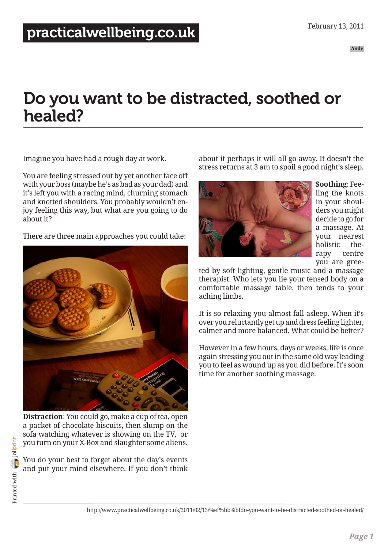# Do you want to be distracted, soothed or healed?

Imagine you have had a rough day at work.

You are feeling stressed out by yet another face off with your boss (maybe he's as bad as your dad) and it's left you with a racing mind, churning stomach and knotted shoulders. You probably wouldn't enjoy feeling this way, but what are you going to do about it?

There are three main approaches you could take:



**Distraction**: You could go, make a cup of tea, open a packet of chocolate biscuits, then slump on the sofa watching whatever is showing on the TV, or you turn on your X-Box and slaughter some aliens.

You do your best to forget about the day's events and put your mind elsewhere. If you don't think about it perhaps it will all go away. It doesn't the stress returns at 3 am to spoil a good night's sleep.



**Soothing**: Feeling the knots in your shoulders you might decide to go for a massage. At your nearest holistic therapy centre you are gree-

ted by soft lighting, gentle music and a massage therapist. Who lets you lie your tensed body on a comfortable massage table, then tends to your aching limbs.

It is so relaxing you almost fall asleep. When it's over you reluctantly get up and dress feeling lighter, calmer and more balanced. What could be better?

However in a few hours, days or weeks, life is once again stressing you out in the same old way leading you to feel as wound up as you did before. It's soon time for another soothing massage.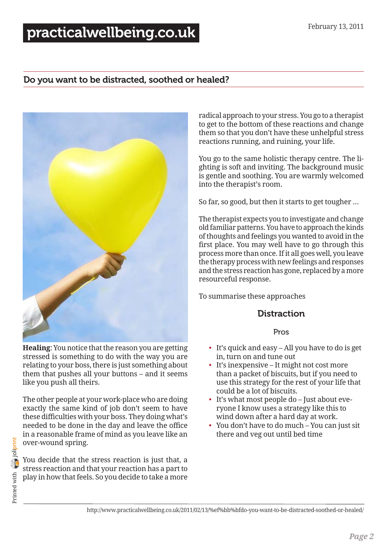## [practicalwellbeing.co.uk](http://www.practicalwellbeing.co.uk/)

## Do you want to be distracted, soothed or healed?



**Healing**: You notice that the reason you are getting stressed is something to do with the way you are relating to your boss, there is just something about them that pushes all your buttons – and it seems like you push all theirs.

The other people at your work-place who are doing exactly the same kind of job don't seem to have these difficulties with your boss. They doing what's needed to be done in the day and leave the office in a reasonable frame of mind as you leave like an over-wound spring.

You decide that the stress reaction is just that, a stress reaction and that your reaction has a part to play in how that feels. So you decide to take a more

radical approach to your stress. You go to a therapist to get to the bottom of these reactions and change them so that you don't have these unhelpful stress reactions running, and ruining, your life.

You go to the same holistic therapy centre. The lighting is soft and inviting. The background music is gentle and soothing. You are warmly welcomed into the therapist's room.

So far, so good, but then it starts to get tougher …

The therapist expects you to investigate and change old familiar patterns. You have to approach the kinds of thoughts and feelings you wanted to avoid in the first place. You may well have to go through this process more than once. If it all goes well, you leave the therapy process with new feelings and responses and the stress reaction has gone, replaced by a more resourceful response.

To summarise these approaches

## **Distraction**

#### Pros

- It's quick and easy All you have to do is get in, turn on and tune out
- It's inexpensive It might not cost more than a packet of biscuits, but if you need to use this strategy for the rest of your life that could be a lot of biscuits.
- It's what most people do Just about everyone I know uses a strategy like this to wind down after a hard day at work.
- You don't have to do much You can just sit there and veg out until bed time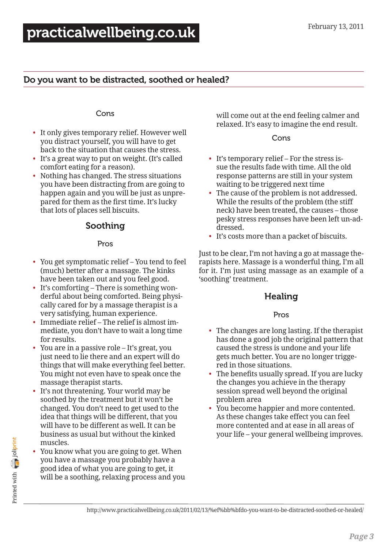## Do you want to be distracted, soothed or healed?

#### Cons

- It only gives temporary relief. However well you distract yourself, you will have to get back to the situation that causes the stress.
- It's a great way to put on weight. (It's called comfort eating for a reason).
- Nothing has changed. The stress situations you have been distracting from are going to happen again and you will be just as unprepared for them as the first time. It's lucky that lots of places sell biscuits.

## Soothing

#### Pros

- You get symptomatic relief You tend to feel (much) better after a massage. The kinks have been taken out and you feel good.
- It's comforting There is something wonderful about being comforted. Being physically cared for by a massage therapist is a very satisfying, human experience.
- Immediate relief The relief is almost immediate, you don't have to wait a long time for results.
- You are in a passive role It's great, you just need to lie there and an expert will do things that will make everything feel better. You might not even have to speak once the massage therapist starts.
- It's not threatening. Your world may be soothed by the treatment but it won't be changed. You don't need to get used to the idea that things will be different, that you will have to be different as well. It can be business as usual but without the kinked muscles.
- You know what you are going to get. When you have a massage you probably have a good idea of what you are going to get, it will be a soothing, relaxing process and you

will come out at the end feeling calmer and relaxed. It's easy to imagine the end result.

Cons

- It's temporary relief For the stress issue the results fade with time. All the old response patterns are still in your system waiting to be triggered next time
- The cause of the problem is not addressed. While the results of the problem (the stiff neck) have been treated, the causes – those pesky stress responses have been left un-addressed.
- It's costs more than a packet of biscuits.

Just to be clear, I'm not having a go at massage therapists here. Massage is a wonderful thing, I'm all for it. I'm just using massage as an example of a 'soothing' treatment.

## Healing

#### Pros

- The changes are long lasting. If the therapist has done a good job the original pattern that caused the stress is undone and your life gets much better. You are no longer triggered in those situations.
- The benefits usually spread. If you are lucky the changes you achieve in the therapy session spread well beyond the original problem area
- You become happier and more contented. As these changes take effect you can feel more contented and at ease in all areas of your life – your general wellbeing improves.

Printed with **[joliprint](http://joliprint.com)** Printed with **Print**